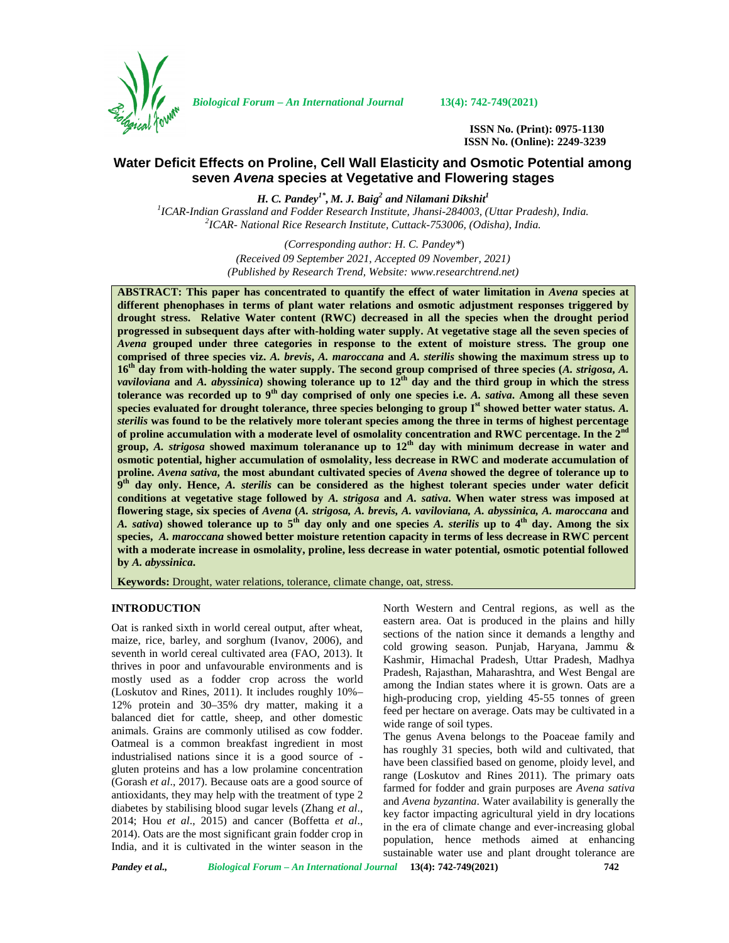

*Biological Forum – An International Journal* **13(4): 742-749(2021)**

**ISSN No. (Print): 0975-1130 ISSN No. (Online): 2249-3239**

# **Water Deficit Effects on Proline, Cell Wall Elasticity and Osmotic Potential among seven** *Avena* **species at Vegetative and Flowering stages**

*H. C. Pandey1\* , M. J. Baig<sup>2</sup> and Nilamani Dikshit<sup>1</sup> <sup>1</sup>ICAR-Indian Grassland and Fodder Research Institute, Jhansi-284003, (Uttar Pradesh), India. <sup>2</sup>ICAR- National Rice Research Institute, Cuttack-753006, (Odisha), India.*

> *(Corresponding author: H. C. Pandey\**) *(Received 09 September 2021, Accepted 09 November, 2021) (Published by Research Trend, Website: [www.researchtrend.net\)](www.researchtrend.net)*

**ABSTRACT: This paper has concentrated to quantify the effect of water limitation in** *Avena* **species at different phenophases in terms of plant water relations and osmotic adjustment responses triggered by drought stress. Relative Water content (RWC) decreased in all the species when the drought period progressed in subsequent days after with-holding water supply. At vegetative stage all the seven species of** *Avena* **grouped under three categories in response to the extent of moisture stress. The group one comprised of three species viz.** *A. brevis***,** *A. maroccana* **and** *A. sterilis* **showing the maximum stress up to 16th day from with-holding the water supply. The second group comprised of three species (***A. strigosa***,** *A. vaviloviana* **and** *A. abyssinica***) showing tolerance up to 12th day and the third group in which the stress tolerance was recorded up to 9th day comprised of only one species i.e.** *A. sativa***. Among all these seven species evaluated for drought tolerance, three species belonging to group Ist showed better water status.** *A. sterilis* **was found to be the relatively more tolerant species among the three in terms of highest percentage** of proline accumulation with a moderate level of osmolality concentration and RWC percentage. In the  $2<sup>n</sup>$ **group,** *A. strigosa* **showed maximum toleranance up to 12th day with minimum decrease in water and osmotic potential, higher accumulation of osmolality, less decrease in RWC and moderate accumulation of proline.** *Avena sativa***, the most abundant cultivated species of** *Avena* **showed the degree of tolerance up to 9 th day only. Hence,** *A. sterilis* **can be considered as the highest tolerant species under water deficit conditions at vegetative stage followed by** *A. strigosa* **and** *A. sativa***. When water stress was imposed at flowering stage, six species of** *Avena* **(***A. strigosa, A. brevis, A. vaviloviana, A. abyssinica, A. maroccana* **and** *A. sativa***) showed tolerance up to 5th day only and one species** *A. sterilis* **up to 4th day. Among the six species,** *A. maroccana* **showed better moisture retention capacity in terms of less decrease in RWC percent with a moderate increase in osmolality, proline, less decrease in water potential, osmotic potential followed by** *A. abyssinica***.**

**Keywords:** Drought, water relations, tolerance, climate change, oat, stress.

## **INTRODUCTION**

Oat is ranked sixth in world cereal output, after wheat, maize, rice, barley, and sorghum (Ivanov, 2006), and seventh in world cereal cultivated area (FAO, 2013). It thrives in poor and unfavourable environments and is mostly used as a fodder crop across the world (Loskutov and Rines, 2011). It includes roughly 10%– 12% protein and 30–35% dry matter, making it a balanced diet for cattle, sheep, and other domestic animals. Grains are commonly utilised as cow fodder. Oatmeal is a common breakfast ingredient in most industrialised nations since it is a good source of gluten proteins and has a low prolamine concentration (Gorash *et al*., 2017). Because oats are a good source of antioxidants, they may help with the treatment of type 2 diabetes by stabilising blood sugar levels (Zhang *et al*., 2014; Hou *et al*., 2015) and cancer (Boffetta *et al*., 2014). Oats are the most significant grain fodder crop in India, and it is cultivated in the winter season in the North Western and Central regions, as well as the eastern area. Oat is produced in the plains and hilly sections of the nation since it demands a lengthy and cold growing season. Punjab, Haryana, Jammu & Kashmir, Himachal Pradesh, Uttar Pradesh, Madhya Pradesh, Rajasthan, Maharashtra, and West Bengal are among the Indian states where it is grown. Oats are a high-producing crop, yielding 45-55 tonnes of green feed per hectare on average. Oats may be cultivated in a wide range of soil types.

The genus Avena belongs to the Poaceae family and has roughly 31 species, both wild and cultivated, that have been classified based on genome, ploidy level, and range (Loskutov and Rines 2011). The primary oats farmed for fodder and grain purposes are *Avena sativa* and *Avena byzantina*. Water availability is generally the key factor impacting agricultural yield in dry locations in the era of climate change and ever-increasing global population, hence methods aimed at enhancing sustainable water use and plant drought tolerance are

*Pandey et al., Biological Forum – An International Journal* **13(4): 742-749(2021) 742**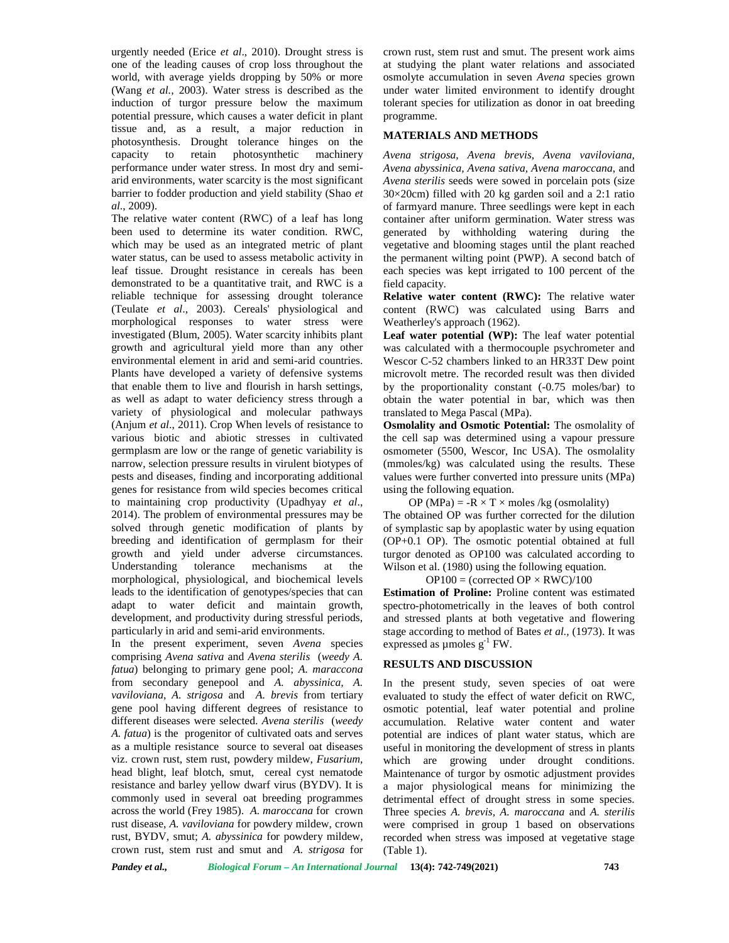urgently needed (Erice *et al*., 2010). Drought stress is one of the leading causes of crop loss throughout the world, with average yields dropping by 50% or more (Wang *et al.,* 2003). Water stress is described as the induction of turgor pressure below the maximum potential pressure, which causes a water deficit in plant tissue and, as a result, a major reduction in photosynthesis. Drought tolerance hinges on the capacity to retain photosynthetic machinery performance under water stress. In most dry and semi arid environments, water scarcity is the most significant barrier to fodder production and yield stability (Shao *et al*., 2009).

The relative water content (RWC) of a leaf has long been used to determine its water condition. RWC, which may be used as an integrated metric of plant water status, can be used to assess metabolic activity in leaf tissue. Drought resistance in cereals has been demonstrated to be a quantitative trait, and RWC is a reliable technique for assessing drought tolerance (Teulate *et al*., 2003). Cereals' physiological and morphological responses to water stress were investigated (Blum, 2005). Water scarcity inhibits plant growth and agricultural yield more than any other environmental element in arid and semi-arid countries. Plants have developed a variety of defensive systems that enable them to live and flourish in harsh settings, as well as adapt to water deficiency stress through a variety of physiological and molecular pathways (Anjum *et al*., 2011). Crop When levels of resistance to various biotic and abiotic stresses in cultivated germplasm are low or the range of genetic variability is narrow, selection pressure results in virulent biotypes of pests and diseases, finding and incorporating additional genes for resistance from wild species becomes critical to maintaining crop productivity (Upadhyay *et al*., 2014). The problem of environmental pressures may be solved through genetic modification of plants by breeding and identification of germplasm for their growth and yield under adverse circumstances. Understanding tolerance mechanisms at the morphological, physiological, and biochemical levels leads to the identification of genotypes/species that can adapt to water deficit and maintain growth, development, and productivity during stressful periods, particularly in arid and semi-arid environments.

In the present experiment, seven *Avena* species comprising *Avena sativa* and *Avena sterilis* (*weedy A. fatua*) belonging to primary gene pool; *A. maraccona* from secondary genepool and *A. abyssinica, A. vaviloviana*, *A. strigosa* and *A. brevis* from tertiary gene pool having different degrees of resistance to different diseases were selected. *Avena sterilis* (*weedy A. fatua*) is the progenitor of cultivated oats and serves as a multiple resistance source to several oat diseases viz. crown rust, stem rust, powdery mildew, *Fusarium*, head blight, leaf blotch, smut, cereal cyst nematode resistance and barley yellow dwarf virus (BYDV). It is commonly used in several oat breeding programmes across the world (Frey 1985). *A. maroccana* for crown rust disease, *A. vaviloviana* for powdery mildew, crown rust, BYDV, smut; *A. abyssinica* for powdery mildew, crown rust, stem rust and smut and *A. strigosa* for crown rust, stem rust and smut. The present work aims at studying the plant water relations and associated osmolyte accumulation in seven *Avena* species grown under water limited environment to identify drought tolerant species for utilization as donor in oat breeding programme.

#### **MATERIALS AND METHODS**

*Avena strigosa*, *Avena brevis, Avena vaviloviana, Avena abyssinica, Avena sativa, Avena maroccana*, and *Avena sterilis* seeds were sowed in porcelain pots (size 30×20cm) filled with 20 kg garden soil and a 2:1 ratio of farmyard manure. Three seedlings were kept in each container after uniform germination. Water stress was generated by withholding watering during the vegetative and blooming stages until the plant reached the permanent wilting point (PWP). A second batch of each species was kept irrigated to 100 percent of the field capacity.

**Relative water content (RWC):** The relative water content (RWC) was calculated using Barrs and Weatherley's approach (1962).

**Leaf water potential (WP):** The leaf water potential was calculated with a thermocouple psychrometer and Wescor C-52 chambers linked to an HR33T Dew point microvolt metre. The recorded result was then divided by the proportionality constant (-0.75 moles/bar) to obtain the water potential in bar, which was then translated to Mega Pascal (MPa).

**Osmolality and Osmotic Potential:** The osmolality of the cell sap was determined using a vapour pressure osmometer (5500, Wescor, Inc USA). The osmolality (mmoles/kg) was calculated using the results. These values were further converted into pressure units (MPa) using the following equation.

OP (MPa) =  $-R \times T \times$  moles /kg (osmolality) The obtained OP was further corrected for the dilution of symplastic sap by apoplastic water by using equation (OP+0.1 OP). The osmotic potential obtained at full turgor denoted as OP100 was calculated according to Wilson et al. (1980) using the following equation.

 $OP100 = (corrected OP \times RWC)/100$ 

**Estimation of Proline:** Proline content was estimated spectro-photometrically in the leaves of both control and stressed plants at both vegetative and flowering stage according to method of Bates *et al.,* (1973). It was expressed as  $\mu$  moles  $g^{-1}$  FW.

## **RESULTS AND DISCUSSION**

In the present study, seven species of oat were evaluated to study the effect of water deficit on RWC, osmotic potential, leaf water potential and proline accumulation. Relative water content and water potential are indices of plant water status, which are useful in monitoring the development of stress in plants which are growing under drought conditions. Maintenance of turgor by osmotic adjustment provides a major physiological means for minimizing the detrimental effect of drought stress in some species. Three species *A. brevis, A. maroccana* and *A. sterilis* were comprised in group 1 based on observations recorded when stress was imposed at vegetative stage (Table 1).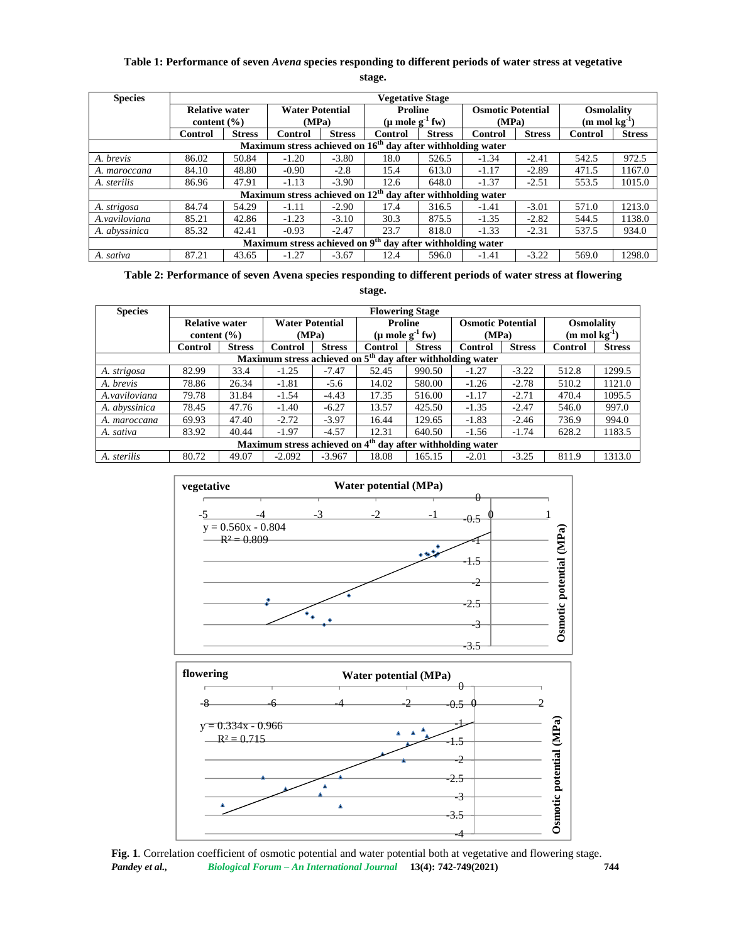# **Table 1: Performance of seven** *Avena* **species responding to different periods of water stress at vegetative stage.**

| <b>Species</b> | <b>Vegetative Stage</b>                  |               |                                 |               |                                                                        |               |                                   |               |                                                    |               |
|----------------|------------------------------------------|---------------|---------------------------------|---------------|------------------------------------------------------------------------|---------------|-----------------------------------|---------------|----------------------------------------------------|---------------|
|                | <b>Relative water</b><br>content $(\% )$ |               | <b>Water Potential</b><br>(MPa) |               | <b>Proline</b><br>$(\mu$ mole g <sup>-1</sup> fw)                      |               | <b>Osmotic Potential</b><br>(MPa) |               | <b>Osmolality</b><br>$(m \mod k\mathfrak{g}^{-1})$ |               |
|                | Control                                  | <b>Stress</b> | Control                         | <b>Stress</b> | <b>Control</b>                                                         | <b>Stress</b> | <b>Control</b>                    | <b>Stress</b> | Control                                            | <b>Stress</b> |
|                |                                          |               |                                 |               | Maximum stress achieved on $16th$ day after withholding water          |               |                                   |               |                                                    |               |
| A. brevis      | 86.02                                    | 50.84         | $-1.20$                         | $-3.80$       | 18.0                                                                   | 526.5         | $-1.34$                           | $-2.41$       | 542.5                                              | 972.5         |
| A. maroccana   | 84.10                                    | 48.80         | $-0.90$                         | $-2.8$        | 15.4                                                                   | 613.0         | $-1.17$                           | $-2.89$       | 471.5                                              | 1167.0        |
| A. sterilis    | 86.96                                    | 47.91         | $-1.13$                         | $-3.90$       | 12.6                                                                   | 648.0         | $-1.37$                           | $-2.51$       | 553.5                                              | 1015.0        |
|                |                                          |               |                                 |               | Maximum stress achieved on $12th$ day after withholding water          |               |                                   |               |                                                    |               |
| A. strigosa    | 84.74                                    | 54.29         | $-1.11$                         | $-2.90$       | 17.4                                                                   | 316.5         | $-1.41$                           | $-3.01$       | 571.0                                              | 1213.0        |
| A.vaviloviana  | 85.21                                    | 42.86         | $-1.23$                         | $-3.10$       | 30.3                                                                   | 875.5         | $-1.35$                           | $-2.82$       | 544.5                                              | 1138.0        |
| A. abyssinica  | 85.32                                    | 42.41         | $-0.93$                         | $-2.47$       | 23.7                                                                   | 818.0         | $-1.33$                           | $-2.31$       | 537.5                                              | 934.0         |
|                |                                          |               |                                 |               | Maximum stress achieved on 9 <sup>th</sup> day after withholding water |               |                                   |               |                                                    |               |
| A. sativa      | 87.21                                    | 43.65         | $-1.27$                         | $-3.67$       | 12.4                                                                   | 596.0         | $-1.41$                           | $-3.22$       | 569.0                                              | 1298.0        |

**Table 2: Performance of seven Avena species responding to different periods of water stress at flowering**

**stage.**

| <b>Species</b>                                                         | <b>Flowering Stage</b>                   |               |                                 |               |                                                           |               |                                   |               |                                         |               |  |
|------------------------------------------------------------------------|------------------------------------------|---------------|---------------------------------|---------------|-----------------------------------------------------------|---------------|-----------------------------------|---------------|-----------------------------------------|---------------|--|
|                                                                        | <b>Relative water</b><br>content $(\% )$ |               | <b>Water Potential</b><br>(MPa) |               | <b>Proline</b><br>$(\mu \text{ mole } g^{-1} \text{ fw})$ |               | <b>Osmotic Potential</b><br>(MPa) |               | <b>Osmolality</b><br>$(m \mod kg^{-1})$ |               |  |
|                                                                        |                                          |               |                                 |               |                                                           |               |                                   |               |                                         |               |  |
|                                                                        | <b>Control</b>                           | <b>Stress</b> | Control                         | <b>Stress</b> | <b>Control</b>                                            | <b>Stress</b> | Control                           | <b>Stress</b> | <b>Control</b>                          | <b>Stress</b> |  |
| Maximum stress achieved on $5th$ day after withholding water           |                                          |               |                                 |               |                                                           |               |                                   |               |                                         |               |  |
| A. strigosa                                                            | 82.99                                    | 33.4          | $-1.25$                         | $-7.47$       | 52.45                                                     | 990.50        | $-1.27$                           | $-3.22$       | 512.8                                   | 1299.5        |  |
| A. brevis                                                              | 78.86                                    | 26.34         | $-1.81$                         | $-5.6$        | 14.02                                                     | 580.00        | $-1.26$                           | $-2.78$       | 510.2                                   | 1121.0        |  |
| A.vaviloviana                                                          | 79.78                                    | 31.84         | $-1.54$                         | $-4.43$       | 17.35                                                     | 516.00        | $-1.17$                           | $-2.71$       | 470.4                                   | 1095.5        |  |
| A. abyssinica                                                          | 78.45                                    | 47.76         | $-1.40$                         | $-6.27$       | 13.57                                                     | 425.50        | $-1.35$                           | $-2.47$       | 546.0                                   | 997.0         |  |
| A. maroccana                                                           | 69.93                                    | 47.40         | $-2.72$                         | $-3.97$       | 16.44                                                     | 129.65        | $-1.83$                           | $-2.46$       | 736.9                                   | 994.0         |  |
| A. sativa                                                              | 83.92                                    | 40.44         | $-1.97$                         | $-4.57$       | 12.31                                                     | 640.50        | $-1.56$                           | $-1.74$       | 628.2                                   | 1183.5        |  |
| Maximum stress achieved on 4 <sup>th</sup> day after withholding water |                                          |               |                                 |               |                                                           |               |                                   |               |                                         |               |  |
| A. sterilis                                                            | 80.72                                    | 49.07         | $-2.092$                        | $-3.967$      | 18.08                                                     | 165.15        | $-2.01$                           | $-3.25$       | 811.9                                   | 1313.0        |  |





*Pandey et al., Biological Forum – An International Journal* **13(4): 742-749(2021) 744 Fig. 1***.* Correlation coefficient of osmotic potential and water potential both at vegetative and flowering stage.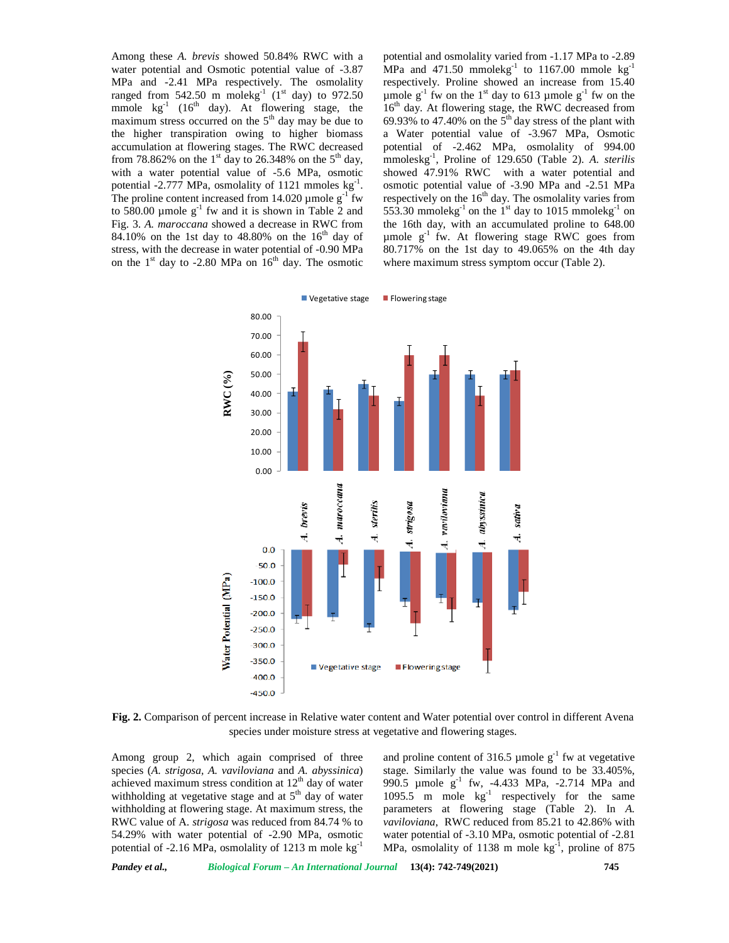Among these *A. brevis* showed 50.84% RWC with a water potential and Osmotic potential value of -3.87 MPa and -2.41 MPa respectively. The osmolality ranged from 542.50 m molekg<sup>-1</sup> (1<sup>st</sup> day) to 972.50 mmole  $\text{kg}^{-1}$  (16<sup>th</sup> day). At flowering stage, the maximum stress occurred on the  $5<sup>th</sup>$  day may be due to the higher transpiration owing to higher biomass accumulation at flowering stages. The RWC decreased from 78.862% on the 1<sup>st</sup> day to 26.348% on the 5<sup>th</sup> day, with a water potential value of -5.6 MPa, osmotic potential -2.777 MPa, osmolality of 1121 mmoles  $kg^{-1}$ . o The proline content increased from 14.020  $\mu$  mole g<sup>-1</sup> fw to 580.00  $\mu$ mole  $g^{-1}$  fw and it is shown in Table 2 and Fig. 3. *A. maroccana* showed a decrease in RWC from 84.10% on the 1st day to 48.80% on the  $16<sup>th</sup>$  day of stress, with the decrease in water potential of -0.90 MPa on the  $1<sup>st</sup>$  day to -2.80 MPa on  $16<sup>th</sup>$  day. The osmotic

potential and osmolality varied from -1.17 MPa to -2.89 MPa and 471.50 mmolekg<sup>-1</sup> to 1167.00 mmole kg<sup>-1</sup> respectively. Proline showed an increase from 15.40 µmole  $g^{-1}$  fw on the 1<sup>st</sup> day to 613 µmole  $g^{-1}$  fw on the 16<sup>th</sup> day. At flowering stage, the RWC decreased from 69.93% to 47.40% on the  $5<sup>th</sup>$  day stress of the plant with a Water potential value of -3.967 MPa, Osmotic potential of -2.462 MPa, osmolality of 994.00 mmoleskg-1 , Proline of 129.650 (Table 2). *A. sterilis* showed 47.91% RWC with a water potential and osmotic potential value of -3.90 MPa and -2.51 MPa respectively on the  $16<sup>th</sup>$  day. The osmolality varies from 553.30 mmolekg<sup>-1</sup> on the 1<sup>st</sup> day to 1015 mmolekg<sup>-1</sup> on the 16th day, with an accumulated proline to 648.00 µmole  $g^{-1}$  fw. At flowering stage RWC goes from 80.717% on the 1st day to 49.065% on the 4th day where maximum stress symptom occur (Table 2).



**Fig. 2.** Comparison of percent increase in Relative water content and Water potential over control in different Avena species under moisture stress at vegetative and flowering stages.

Among group 2, which again comprised of three species (*A. strigosa, A. vaviloviana* and *A. abyssinica*) achieved maximum stress condition at  $12<sup>th</sup>$  day of water withholding at vegetative stage and at  $5<sup>th</sup>$  day of water withholding at flowering stage. At maximum stress, the RWC value of A*. strigosa* was reduced from 84.74 % to 54.29% with water potential of -2.90 MPa, osmotic potential of -2.16 MPa, osmolality of 1213 m mole kg<sup>-1</sup>

and proline content of 316.5 µmole  $g^{-1}$  fw at vegetative stage. Similarly the value was found to be 33.405%, 990.5 µmole  $g^{-1}$  fw, -4.433 MPa, -2.714 MPa and 1095.5 m mole  $kg^{-1}$  respectively for the same parameters at flowering stage (Table 2). In *A. vaviloviana*, RWC reduced from 85.21 to 42.86% with water potential of -3.10 MPa, osmotic potential of -2.81 MPa, osmolality of 1138 m mole  $\text{kg}^{-1}$ , proline of 875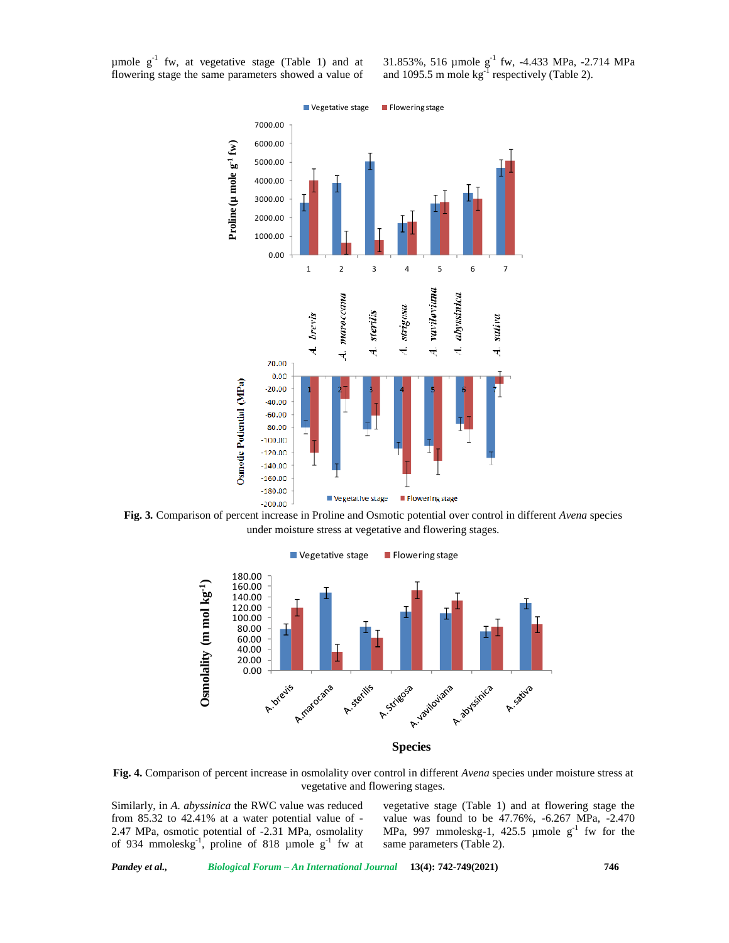µmole  $g^{-1}$  fw, at vegetative stage (Table 1) and at flowering stage the same parameters showed a value of 31.853%, 516 µmole g<sup>-1</sup> fw, -4.433 MPa, -2.714 MPa and 1095.5 m mole  $kg^{-1}$  respectively (Table 2).



**Fig. 3***.* Comparison of percent increase in Proline and Osmotic potential over control in different *Avena* species under moisture stress at vegetative and flowering stages.



**Species**

**Fig. 4.** Comparison of percent increase in osmolality over control in different *Avena* species under moisture stress at vegetative and flowering stages.

Similarly, in *A. abyssinica* the RWC value was reduced from 85.32 to 42.41% at a water potential value of - 2.47 MPa, osmotic potential of -2.31 MPa, osmolality of 934 mmoleskg<sup>-1</sup>, proline of 818 µmole g<sup>-1</sup> fw at s

vegetative stage (Table 1) and at flowering stage the value was found to be 47.76%, -6.267 MPa, -2.470 MPa, 997 mmoleskg-1, 425.5 µmole  $g^{-1}$  fw for the same parameters (Table 2).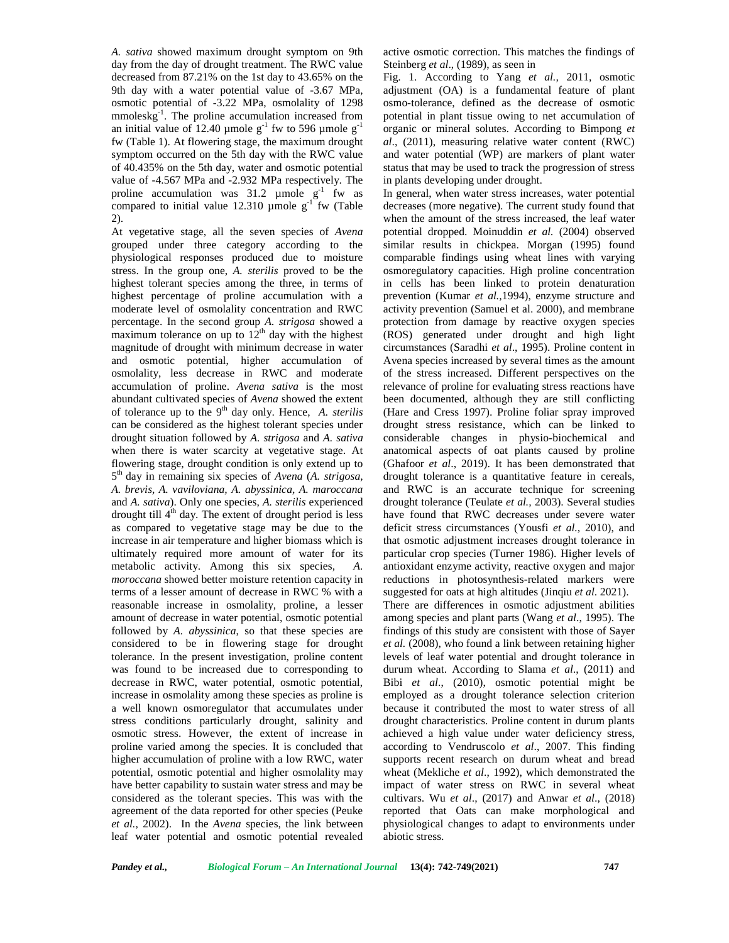*A. sativa* showed maximum drought symptom on 9th day from the day of drought treatment. The RWC value decreased from 87.21% on the 1st day to 43.65% on the 9th day with a water potential value of -3.67 MPa, osmotic potential of -3.22 MPa, osmolality of 1298 mmoleskg<sup>-1</sup>. The proline accumulation increased from potential i an initial value of 12.40 µmole  $g^{-1}$  fw to 596 µmole  $g^{-1}$ fw (Table 1). At flowering stage, the maximum drought symptom occurred on the 5th day with the RWC value of 40.435% on the 5th day, water and osmotic potential value of -4.567 MPa and -2.932 MPa respectively. The proline accumulation was  $31.2 \mu$  mole g<sup>-1</sup> fw as compared to initial value 12.310 µmole  $g^{-1}$  fw (Table decr 2).

At vegetative stage, all the seven species of *Avena* grouped under three category according to the physiological responses produced due to moisture stress. In the group one, *A. sterilis* proved to be the highest tolerant species among the three, in terms of highest percentage of proline accumulation with a moderate level of osmolality concentration and RWC percentage. In the second group *A. strigosa* showed a maximum tolerance on up to  $12<sup>th</sup>$  day with the highest magnitude of drought with minimum decrease in water and osmotic potential, higher accumulation of osmolality, less decrease in RWC and moderate accumulation of proline. *Avena sativa* is the most abundant cultivated species of *Avena* showed the extent of tolerance up to the 9<sup>th</sup> day only. Hence, *A. sterilis* can be considered as the highest tolerant species under drought situation followed by *A. strigosa* and *A. sativa* when there is water scarcity at vegetative stage. At flowering stage, drought condition is only extend up to 5 th day in remaining six species of *Avena* (*A. strigosa, A. brevis, A. vaviloviana, A. abyssinica, A. maroccana* and *A. sativa*). Only one species, *A. sterilis* experienced drought till  $4<sup>th</sup>$  day. The extent of drought period is less as compared to vegetative stage may be due to the increase in air temperature and higher biomass which is ultimately required more amount of water for its metabolic activity. Among this six species, *A. moroccana* showed better moisture retention capacity in terms of a lesser amount of decrease in RWC % with a reasonable increase in osmolality, proline, a lesser amount of decrease in water potential, osmotic potential followed by *A. abyssinica*, so that these species are considered to be in flowering stage for drought tolerance. In the present investigation, proline content was found to be increased due to corresponding to decrease in RWC, water potential, osmotic potential, increase in osmolality among these species as proline is a well known osmoregulator that accumulates under stress conditions particularly drought, salinity and osmotic stress. However, the extent of increase in proline varied among the species. It is concluded that higher accumulation of proline with a low RWC, water potential, osmotic potential and higher osmolality may have better capability to sustain water stress and may be considered as the tolerant species. This was with the agreement of the data reported for other species (Peuke *et al.*, 2002). In the *Avena* species, the link between leaf water potential and osmotic potential revealed

active osmotic correction. This matches the findings of Steinberg *et al*., (1989), as seen in

Fig. 1. According to Yang *et al.,* 2011, osmotic adjustment (OA) is a fundamental feature of plant osmo-tolerance, defined as the decrease of osmotic potential in plant tissue owing to net accumulation of organic or mineral solutes. According to Bimpong *et al*., (2011), measuring relative water content (RWC) and water potential (WP) are markers of plant water status that may be used to track the progression of stress in plants developing under drought.

In general, when water stress increases, water potential decreases (more negative). The current study found that when the amount of the stress increased, the leaf water potential dropped. Moinuddin *et al.* (2004) observed similar results in chickpea. Morgan (1995) found comparable findings using wheat lines with varying osmoregulatory capacities. High proline concentration in cells has been linked to protein denaturation prevention (Kumar *et al.,*1994), enzyme structure and activity prevention (Samuel et al. 2000), and membrane protection from damage by reactive oxygen species (ROS) generated under drought and high light circumstances (Saradhi *et al*., 1995). Proline content in Avena species increased by several times as the amount of the stress increased. Different perspectives on the relevance of proline for evaluating stress reactions have been documented, although they are still conflicting (Hare and Cress 1997). Proline foliar spray improved drought stress resistance, which can be linked to considerable changes in physio-biochemical and anatomical aspects of oat plants caused by proline (Ghafoor *et al*., 2019). It has been demonstrated that drought tolerance is a quantitative feature in cereals, and RWC is an accurate technique for screening drought tolerance (Teulate *et al.,* 2003). Several studies have found that RWC decreases under severe water deficit stress circumstances (Yousfi *et al.,* 2010), and that osmotic adjustment increases drought tolerance in particular crop species (Turner 1986). Higher levels of antioxidant enzyme activity, reactive oxygen and major reductions in photosynthesis-related markers were suggested for oats at high altitudes (Jinqiu *et al*. 2021). There are differences in osmotic adjustment abilities among species and plant parts (Wang *et al*., 1995). The findings of this study are consistent with those of Sayer *et al.* (2008), who found a link between retaining higher levels of leaf water potential and drought tolerance in durum wheat. According to Slama *et al*., (2011) and Bibi *et al*., (2010), osmotic potential might be employed as a drought tolerance selection criterion because it contributed the most to water stress of all drought characteristics. Proline content in durum plants achieved a high value under water deficiency stress, according to Vendruscolo *et al*., 2007. This finding supports recent research on durum wheat and bread wheat (Mekliche *et al*., 1992), which demonstrated the impact of water stress on RWC in several wheat cultivars. Wu *et al*., (2017) and Anwar *et al*., (2018) reported that Oats can make morphological and physiological changes to adapt to environments under abiotic stress.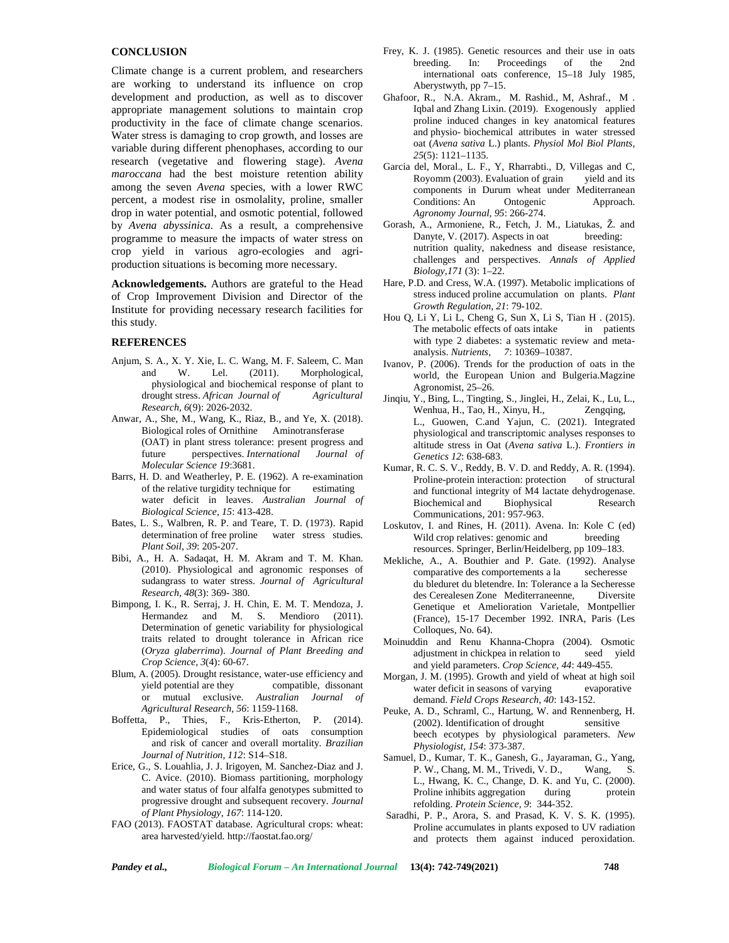## **CONCLUSION**

Climate change is a current problem, and researchers are working to understand its influence on crop development and production, as well as to discover appropriate management solutions to maintain crop productivity in the face of climate change scenarios. Water stress is damaging to crop growth, and losses are variable during different phenophases, according to our research (vegetative and flowering stage). *Avena maroccana* had the best moisture retention ability among the seven *Avena* species, with a lower RWC percent, a modest rise in osmolality, proline, smaller drop in water potential, and osmotic potential, followed by *Avena abyssinica*. As a result, a comprehensive programme to measure the impacts of water stress on crop yield in various agro-ecologies and agri production situations is becoming more necessary.

**Acknowledgements.** Authors are grateful to the Head of Crop Improvement Division and Director of the Institute for providing necessary research facilities for this study.

#### **REFERENCES**

- Anjum, S. A., X. Y. Xie, L. C. Wang, M. F. Saleem, C. Man and W. Lel. (2011). Morphological, physiological and biochemical response of plant to drought stress. *African Journal of Agricultural Research, 6*(9): 2026-2032.
- Anwar, A., She, M., Wang, K., Riaz, B., and Ye, X. (2018). Biological roles of Ornithine Aminotransferase (OAT) in plant stress tolerance: present progress and future perspectives. *International Journal of Molecular Science 19*:3681.
- Barrs, H. D. and Weatherley, P. E. (1962). A re-examination of the relative turgidity technique for estimating water deficit in leaves. *Australian Journal of Biological Science, 15*: 413-428.
- Bates, L. S., Walbren, R. P. and Teare, T. D. (1973). Rapid determination of free proline water stress studies*. Plant Soil*, *39*: 205-207.
- Bibi, A., H. A. Sadaqat, H. M. Akram and T. M. Khan. (2010). Physiological and agronomic responses of sudangrass to water stress. *Journal of Agricultural Research, 48*(3): 369- 380.
- Bimpong, I. K., R. Serraj, J. H. Chin, E. M. T. Mendoza, J. Hermandez and M. S. Mendioro (2011). Determination of genetic variability for physiological traits related to drought tolerance in African rice (*Oryza glaberrima*). *Journal of Plant Breeding and Crop Science, 3*(4): 60-67.
- Blum, A. (2005). Drought resistance, water-use efficiency and yield potential are they compatible, dissonant or mutual exclusive. *Australian Journal of Agricultural Research, 56*: 1159-1168.
- Boffetta, P., Thies, F., Kris-Etherton, P. (2014). Epidemiological studies of oats consumption and risk of cancer and overall mortality. *Brazilian Journal of Nutrition, 112*: S14–S18.
- Erice, G., S. Louahlia, J. J. Irigoyen, M. Sanchez-Diaz and J. C. Avice. (2010). Biomass partitioning, morphology and water status of four alfalfa genotypes submitted to progressive drought and subsequent recovery. *Journal of Plant Physiology, 167*: 114-120.
- FAO (2013). FAOSTAT database. Agricultural crops: wheat: area harvested/yield. http://faostat.fao.org/
- Frey, K. J. (1985). Genetic resources and their use in oats breeding. [In: Proceedin](http://faostat.fao.org/)gs of the 2nd international oats conference, 15–18 July 1985, Aberystwyth, pp 7–15.
- Ghafoor, R., N.A. Akram., M. Rashid., M, Ashraf., M . Iqbal and Zhang Lixin. (2019). Exogenously applied proline induced changes in key anatomical features and physio- biochemical attributes in water stressed oat (*Avena sativa* L.) plants. *Physiol Mol Biol Plants, 25*(5): 1121–1135.
- Garcia del, Moral., L. F., Y, Rharrabti., D, Villegas and C, Royomm (2003). Evaluation of grain yield and its components in Durum wheat under Mediterranean<br>Conditions: An Ontogenic Approach. Conditions: An *Agronomy Journal, 95*: 266-274.
- Gorash, A., Armoniene, R., Fetch, J. M., Liatukas, Ž. and Danyte, V. (2017). Aspects in oat nutrition quality, nakedness and disease resistance, challenges and perspectives. *Annals of Applied Biology,171* (3): 1–22.
- Hare, P.D. and Cress, W.A. (1997). Metabolic implications of stress induced proline accumulation on plants. *Plant Growth Regulation, 21*: 79-102.
- Hou Q, Li Y, Li L, Cheng G, Sun X, Li S, Tian H . (2015). The metabolic effects of oats intake in patients with type 2 diabetes: a systematic review and meta analysis. *Nutrients, 7*: 10369–10387.
- Ivanov, P. (2006). Trends for the production of oats in the world, the European Union and Bulgeria.Magzine Agronomist, 25–26.
- Jinqiu, Y., Bing, L., Tingting, S., Jinglei, H., Zelai, K., Lu, L., Wenhua, H., Tao, H., Xinyu, H., Zengqing, L., Guowen, C.and Yajun, C. (2021). Integrated physiological and transcriptomic analyses responses to altitude stress in Oat (*Avena sativa* L.). *Frontiers in Genetics 12*: 638-683.
- Kumar, R. C. S. V., Reddy, B. V. D. and Reddy, A. R. (1994). Proline-protein interaction: protection of structural and functional integrity of M4 lactate dehydrogenase. Biochemical and Biophysical Research Communications, 201: 957-963.
- Loskutov, I. and Rines, H. (2011). Avena. In: Kole C (ed) Wild crop relatives: genomic and breeding resources. Springer, Berlin/Heidelberg, pp 109–183.
- Mekliche, A., A. Bouthier and P. Gate. (1992). Analyse comparative des comportements a la secheresse du bleduret du bletendre. In: Tolerance a la Secheresse des Cerealesen Zone Mediterraneenne, Diversite Genetique et Amelioration Varietale, Montpellier (France), 15-17 December 1992. INRA, Paris (Les Colloques, No. 64).
- Moinuddin and Renu Khanna-Chopra (2004). Osmotic adjustment in chickpea in relation to and yield parameters. *Crop Science, 44*: 449-455.
- Morgan, J. M. (1995). Growth and yield of wheat at high soil water deficit in seasons of varying evaporative demand. *Field Crops Research, 40*: 143-152.
- Peuke, A. D., Schraml, C., Hartung, W. and Rennenberg, H.  $(2002)$ . Identification of drought sensitive beech ecotypes by physiological parameters. *New Physiologist, 154*: 373-387.
- Samuel, D., Kumar, T. K., Ganesh, G., Jayaraman, G., Yang, P. W., Chang, M. M., Trivedi, V. D., Wang, S. L., Hwang, K. C., Change, D. K. and Yu, C. (2000). Proline inhibits aggregation during protein refolding. *Protein Science, 9*: 344-352.
- Saradhi, P. P., Arora, S. and Prasad, K. V. S. K. (1995). Proline accumulates in plants exposed to UV radiation and protects them against induced peroxidation.